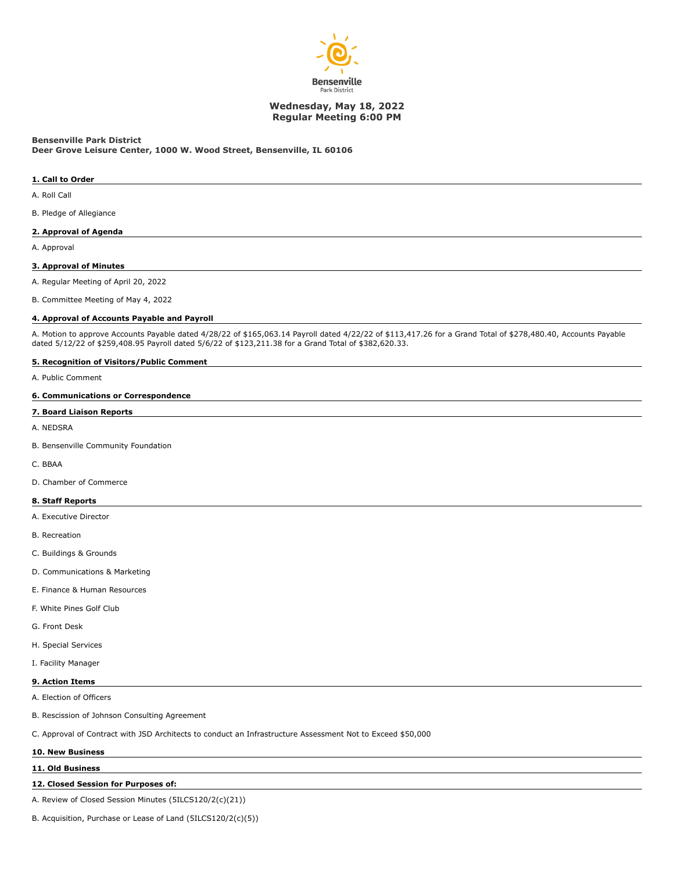

# **Wednesday, May 18, 2022 Regular Meeting 6:00 PM**

# **Bensenville Park District**

**Deer Grove Leisure Center, 1000 W. Wood Street, Bensenville, IL 60106**

### **1. Call to Order**

A. Roll Call

B. Pledge of Allegiance

### **2. Approval of Agenda**

A. Approval

#### **3. Approval of Minutes**

A. Regular Meeting of April 20, 2022

B. Committee Meeting of May 4, 2022

#### **4. Approval of Accounts Payable and Payroll**

A. Motion to approve Accounts Payable dated 4/28/22 of \$165,063.14 Payroll dated 4/22/22 of \$113,417.26 for a Grand Total of \$278,480.40, Accounts Payable dated 5/12/22 of \$259,408.95 Payroll dated 5/6/22 of \$123,211.38 for a Grand Total of \$382,620.33.

# **5. Recognition of Visitors/Public Comment**

A. Public Comment

# **6. Communications or Correspondence**

#### **7. Board Liaison Reports**

A. NEDSRA

B. Bensenville Community Foundation

C. BBAA

D. Chamber of Commerce

### **8. Staff Reports**

- A. Executive Director
- B. Recreation
- C. Buildings & Grounds
- D. Communications & Marketing
- E. Finance & Human Resources
- F. White Pines Golf Club
- G. Front Desk
- H. Special Services
- I. Facility Manager

# **9. Action Items**

A. Election of Officers

B. Rescission of Johnson Consulting Agreement

C. Approval of Contract with JSD Architects to conduct an Infrastructure Assessment Not to Exceed \$50,000

#### **10. New Business**

# **11. Old Business**

### **12. Closed Session for Purposes of:**

A. Review of Closed Session Minutes (5ILCS120/2(c)(21))

B. Acquisition, Purchase or Lease of Land (5ILCS120/2(c)(5))